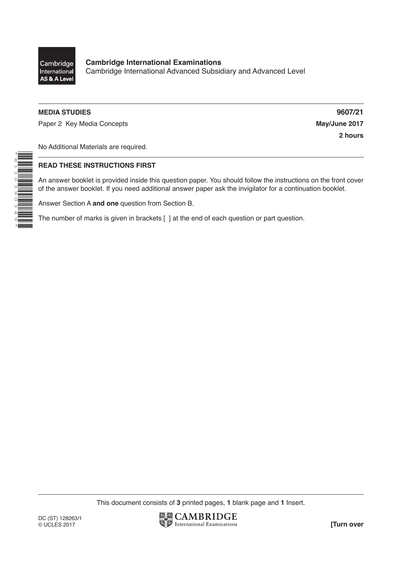

\*8110390349\*

### **MEDIA STUDIES 9607/21**

Paper 2 Key Media Concepts **May/June 2017** 

**2 hours**

No Additional Materials are required.

#### **READ THESE INSTRUCTIONS FIRST**

An answer booklet is provided inside this question paper. You should follow the instructions on the front cover of the answer booklet. If you need additional answer paper ask the invigilator for a continuation booklet.

Answer Section A **and one** question from Section B.

The number of marks is given in brackets [ ] at the end of each question or part question.

This document consists of **3** printed pages, **1** blank page and **1** Insert.

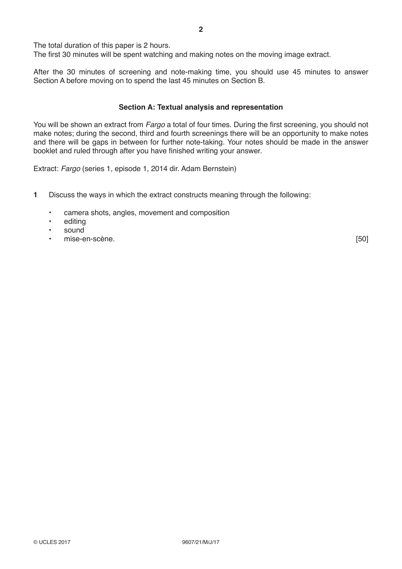The total duration of this paper is 2 hours.

The first 30 minutes will be spent watching and making notes on the moving image extract.

After the 30 minutes of screening and note-making time, you should use 45 minutes to answer Section A before moving on to spend the last 45 minutes on Section B.

#### **Section A: Textual analysis and representation**

You will be shown an extract from *Fargo* a total of four times. During the first screening, you should not make notes; during the second, third and fourth screenings there will be an opportunity to make notes and there will be gaps in between for further note-taking. Your notes should be made in the answer booklet and ruled through after you have finished writing your answer.

Extract: *Fargo* (series 1, episode 1, 2014 dir. Adam Bernstein)

- **1** Discuss the ways in which the extract constructs meaning through the following:
	- camera shots, angles, movement and composition
	- editing
	- sound
	- en-scène. [50]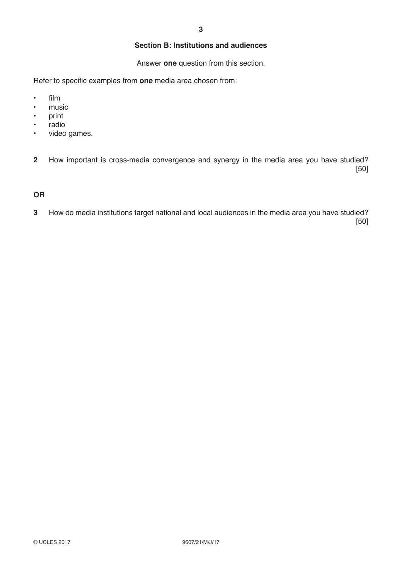## **Section B: Institutions and audiences**

Answer **one** question from this section.

Refer to specific examples from **one** media area chosen from:

- film
- music
- print
- radio
- video games.

**2** How important is cross-media convergence and synergy in the media area you have studied? [50]

# **OR**

**3** How do media institutions target national and local audiences in the media area you have studied? [50]